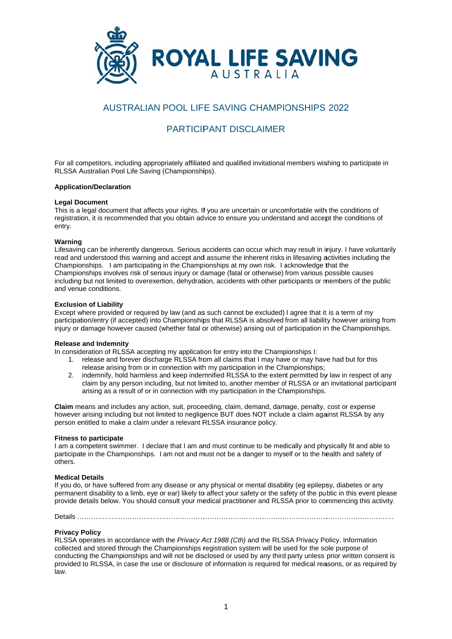

# **AUSTRALIAN POOL LIFE SAVING CHAMPIONSHIPS 2022**

# **PARTICIPANT DISCI AIMER**

For all competitors, including appropriately affiliated and qualified invitational members wishing to participate in RLSSA Australian Pool Life Saving (Championships).

#### **Application/Declaration**

#### **Legal Document**

This is a legal document that affects your rights. If you are uncertain or uncomfortable with the conditions of registration, it is recommended that you obtain advice to ensure you understand and accept the conditions of entry.

### Warning

Lifesaving can be inherently dangerous. Serious accidents can occur which may result in injury. I have voluntarily read and understood this warning and accept and assume the inherent risks in lifesaving activities including the Championships. I am participating in the Championships at my own risk. I acknowledge that the Championships involves risk of serious injury or damage (fatal or otherwise) from various possible causes including but not limited to overexertion, dehydration, accidents with other participants or members of the public and venue conditions.

### **Exclusion of Liability**

Except where provided or required by law (and as such cannot be excluded) I agree that it is a term of my participation/entry (if accepted) into Championships that RLSSA is absolved from all liability however arising from injury or damage however caused (whether fatal or otherwise) arising out of participation in the Championships.

## **Release and Indemnity**

In consideration of RLSSA accepting my application for entry into the Championships I:

- 1. release and forever discharge RLSSA from all claims that I may have or may have had but for this release arising from or in connection with my participation in the Championships;
- $2.$ indemnify, hold harmless and keep indemnified RLSSA to the extent permitted by law in respect of any claim by any person including, but not limited to, another member of RLSSA or an invitational participant arising as a result of or in connection with my participation in the Championships.

Claim means and includes any action, suit, proceeding, claim, demand, damage, penalty, cost or expense however arising including but not limited to negligence BUT does NOT include a claim against RLSSA by any person entitled to make a claim under a relevant RLSSA insurance policy.

#### **Fitness to participate**

I am a competent swimmer. I declare that I am and must continue to be medically and physically fit and able to participate in the Championships. I am not and must not be a danger to myself or to the health and safety of others.

## **Medical Details**

If you do, or have suffered from any disease or any physical or mental disability (eg epilepsy, diabetes or any permanent disability to a limb, eye or ear) likely to affect your safety or the safety of the public in this event please provide details below. You should consult your medical practitioner and RLSSA prior to commencing this activity.

## **Privacy Policy**

RLSSA operates in accordance with the Privacy Act 1988 (Cth) and the RLSSA Privacy Policy. Information collected and stored through the Championships registration system will be used for the sole purpose of conducting the Championships and will not be disclosed or used by any third party unless prior written consent is provided to RLSSA, in case the use or disclosure of information is required for medical reasons, or as required by  $I<sub>3M</sub>$